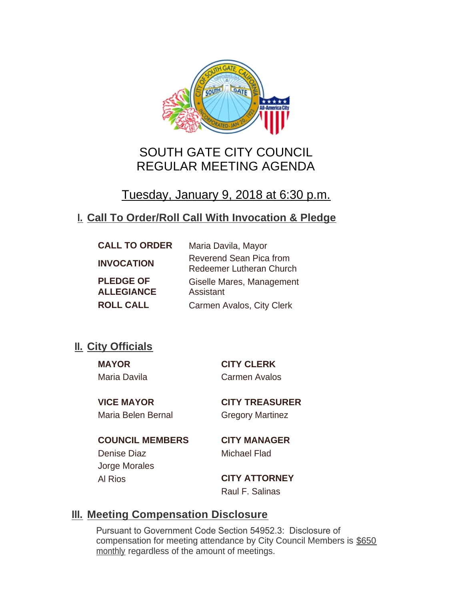

# SOUTH GATE CITY COUNCIL REGULAR MEETING AGENDA

# Tuesday, January 9, 2018 at 6:30 p.m.

## **Call To Order/Roll Call With Invocation & Pledge I.**

| <b>CALL TO ORDER</b>                  | Maria Davila, Mayor                                        |
|---------------------------------------|------------------------------------------------------------|
| <b>INVOCATION</b>                     | Reverend Sean Pica from<br><b>Redeemer Lutheran Church</b> |
| <b>PLEDGE OF</b><br><b>ALLEGIANCE</b> | Giselle Mares, Management<br>Assistant                     |
| <b>ROLL CALL</b>                      | Carmen Avalos, City Clerk                                  |

## **II.** City Officials

**MAYOR CITY CLERK** Maria Davila Carmen Avalos

Maria Belen Bernal Gregory Martinez

**VICE MAYOR CITY TREASURER**

**COUNCIL MEMBERS CITY MANAGER** Denise Diaz Michael Flad Jorge Morales

Al Rios **CITY ATTORNEY** Raul F. Salinas

## **Meeting Compensation Disclosure III.**

Pursuant to Government Code Section 54952.3: Disclosure of compensation for meeting attendance by City Council Members is \$650 monthly regardless of the amount of meetings.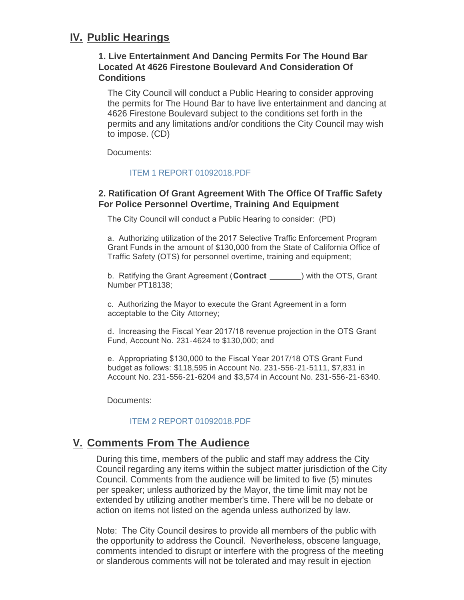## **IV. Public Hearings**

### **1. Live Entertainment And Dancing Permits For The Hound Bar Located At 4626 Firestone Boulevard And Consideration Of Conditions**

The City Council will conduct a Public Hearing to consider approving the permits for The Hound Bar to have live entertainment and dancing at 4626 Firestone Boulevard subject to the conditions set forth in the permits and any limitations and/or conditions the City Council may wish to impose. (CD)

Documents:

### [ITEM 1 REPORT 01092018.PDF](http://cityofsouthgate.org/AgendaCenter/ViewFile/Item/5244?fileID=11191)

### **2. Ratification Of Grant Agreement With The Office Of Traffic Safety For Police Personnel Overtime, Training And Equipment**

The City Council will conduct a Public Hearing to consider: (PD)

a. Authorizing utilization of the 2017 Selective Traffic Enforcement Program Grant Funds in the amount of \$130,000 from the State of California Office of Traffic Safety (OTS) for personnel overtime, training and equipment;

b. Ratifying the Grant Agreement (**Contract**  ) with the OTS, Grant Number PT18138;

c. Authorizing the Mayor to execute the Grant Agreement in a form acceptable to the City Attorney;

d. Increasing the Fiscal Year 2017/18 revenue projection in the OTS Grant Fund, Account No. 231-4624 to \$130,000; and

e. Appropriating \$130,000 to the Fiscal Year 2017/18 OTS Grant Fund budget as follows: \$118,595 in Account No. 231-556-21-5111, \$7,831 in Account No. 231-556-21-6204 and \$3,574 in Account No. 231-556-21-6340.

Documents:

#### [ITEM 2 REPORT 01092018.PDF](http://cityofsouthgate.org/AgendaCenter/ViewFile/Item/5245?fileID=11192)

## **Comments From The Audience V.**

During this time, members of the public and staff may address the City Council regarding any items within the subject matter jurisdiction of the City Council. Comments from the audience will be limited to five (5) minutes per speaker; unless authorized by the Mayor, the time limit may not be extended by utilizing another member's time. There will be no debate or action on items not listed on the agenda unless authorized by law.

Note: The City Council desires to provide all members of the public with the opportunity to address the Council. Nevertheless, obscene language, comments intended to disrupt or interfere with the progress of the meeting or slanderous comments will not be tolerated and may result in ejection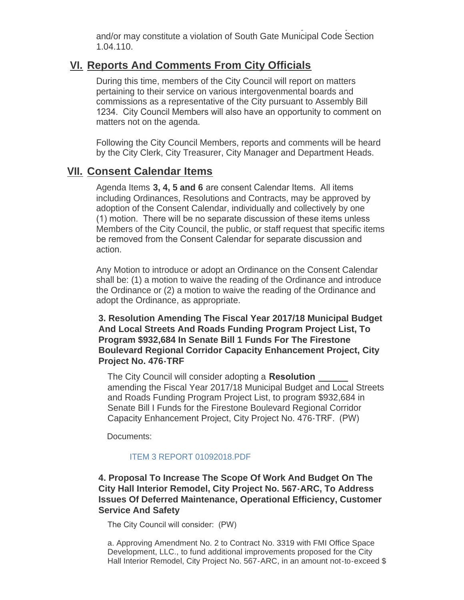or slanderous comments will not be tolerated and may result in ejection  $\mathcal{L}_\mathcal{F}$ and/or may constitute a violation of South Gate Municipal Code Section 1.04.110.

## **Reports And Comments From City Officials VI.**

During this time, members of the City Council will report on matters pertaining to their service on various intergovenmental boards and commissions as a representative of the City pursuant to Assembly Bill 1234. City Council Members will also have an opportunity to comment on matters not on the agenda.

Following the City Council Members, reports and comments will be heard by the City Clerk, City Treasurer, City Manager and Department Heads.

## **Consent Calendar Items VII.**

Agenda Items **3, 4, 5 and 6** are consent Calendar Items. All items including Ordinances, Resolutions and Contracts, may be approved by adoption of the Consent Calendar, individually and collectively by one (1) motion. There will be no separate discussion of these items unless Members of the City Council, the public, or staff request that specific items be removed from the Consent Calendar for separate discussion and action.

Any Motion to introduce or adopt an Ordinance on the Consent Calendar shall be: (1) a motion to waive the reading of the Ordinance and introduce the Ordinance or (2) a motion to waive the reading of the Ordinance and adopt the Ordinance, as appropriate.

**3. Resolution Amending The Fiscal Year 2017/18 Municipal Budget And Local Streets And Roads Funding Program Project List, To Program \$932,684 In Senate Bill 1 Funds For The Firestone Boulevard Regional Corridor Capacity Enhancement Project, City Project No. 476-TRF**

The City Council will consider adopting a **Resolution**  amending the Fiscal Year 2017/18 Municipal Budget and Local Streets and Roads Funding Program Project List, to program \$932,684 in Senate Bill I Funds for the Firestone Boulevard Regional Corridor Capacity Enhancement Project, City Project No. 476-TRF. (PW)

Documents:

### [ITEM 3 REPORT 01092018.PDF](http://cityofsouthgate.org/AgendaCenter/ViewFile/Item/5255?fileID=11200)

### **4. Proposal To Increase The Scope Of Work And Budget On The City Hall Interior Remodel, City Project No. 567-ARC, To Address Issues Of Deferred Maintenance, Operational Efficiency, Customer Service And Safety**

The City Council will consider: (PW)

a. Approving Amendment No. 2 to Contract No. 3319 with FMI Office Space Development, LLC., to fund additional improvements proposed for the City Hall Interior Remodel, City Project No. 567-ARC, in an amount not-to-exceed \$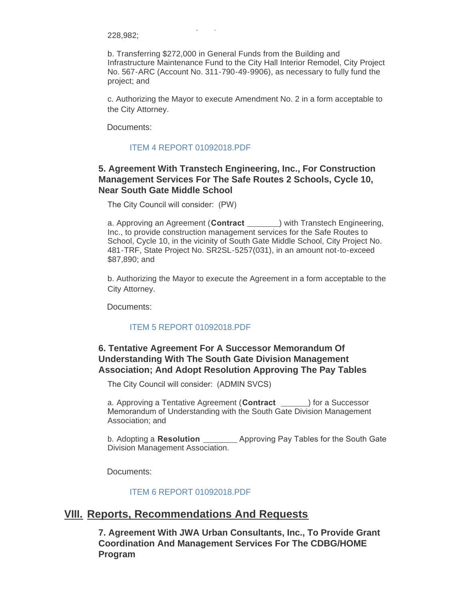228,982;

b. Transferring \$272,000 in General Funds from the Building and Infrastructure Maintenance Fund to the City Hall Interior Remodel, City Project No. 567-ARC (Account No. 311-790-49-9906), as necessary to fully fund the project; and

Hall Interior Remodel, City Project No. 567-ARC, in an amount not-to-exceed \$

c. Authorizing the Mayor to execute Amendment No. 2 in a form acceptable to the City Attorney.

Documents:

#### [ITEM 4 REPORT 01092018.PDF](http://cityofsouthgate.org/AgendaCenter/ViewFile/Item/5254?fileID=11198)

### **5. Agreement With Transtech Engineering, Inc., For Construction Management Services For The Safe Routes 2 Schools, Cycle 10, Near South Gate Middle School**

The City Council will consider: (PW)

a. Approving an Agreement (Contract <u>equal</u>) with Transtech Engineering, Inc., to provide construction management services for the Safe Routes to School, Cycle 10, in the vicinity of South Gate Middle School, City Project No. 481-TRF, State Project No. SR2SL-5257(031), in an amount not-to-exceed \$87,890; and

b. Authorizing the Mayor to execute the Agreement in a form acceptable to the City Attorney.

Documents:

#### [ITEM 5 REPORT 01092018.PDF](http://cityofsouthgate.org/AgendaCenter/ViewFile/Item/5251?fileID=11197)

### **6. Tentative Agreement For A Successor Memorandum Of Understanding With The South Gate Division Management Association; And Adopt Resolution Approving The Pay Tables**

The City Council will consider: (ADMIN SVCS)

a. Approving a Tentative Agreement (**Contract** \_\_\_\_\_) for a Successor Memorandum of Understanding with the South Gate Division Management Association; and

b. Adopting a **Resolution**  Approving Pay Tables for the South Gate Division Management Association.

Documents:

[ITEM 6 REPORT 01092018.PDF](http://cityofsouthgate.org/AgendaCenter/ViewFile/Item/5246?fileID=11193)

## **Reports, Recommendations And Requests VIII.**

**7. Agreement With JWA Urban Consultants, Inc., To Provide Grant Coordination And Management Services For The CDBG/HOME Program**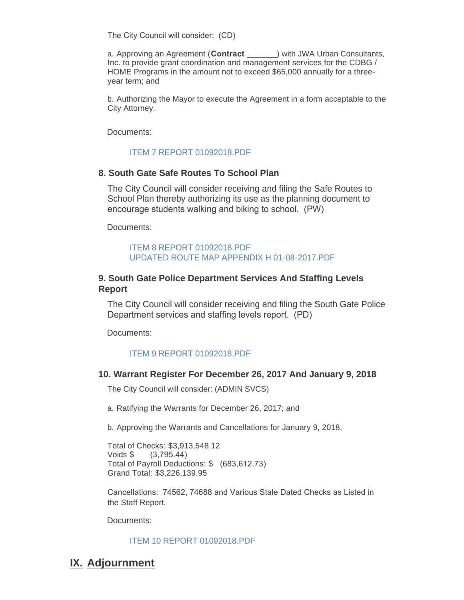The City Council will consider: (CD)

a. Approving an Agreement (**Contract** ) with JWA Urban Consultants, Inc. to provide grant coordination and management services for the CDBG / HOME Programs in the amount not to exceed \$65,000 annually for a threeyear term; and

b. Authorizing the Mayor to execute the Agreement in a form acceptable to the City Attorney.

Documents:

#### [ITEM 7 REPORT 01092018.PDF](http://cityofsouthgate.org/AgendaCenter/ViewFile/Item/5247?fileID=11194)

### **8. South Gate Safe Routes To School Plan**

The City Council will consider receiving and filing the Safe Routes to School Plan thereby authorizing its use as the planning document to encourage students walking and biking to school. (PW)

Documents:

#### [ITEM 8 REPORT 01092018.PDF](http://cityofsouthgate.org/AgendaCenter/ViewFile/Item/5256?fileID=11201) [UPDATED ROUTE MAP APPENDIX H 01-08-2017.PDF](http://cityofsouthgate.org/AgendaCenter/ViewFile/Item/5256?fileID=11220)

### **9. South Gate Police Department Services And Staffing Levels Report**

The City Council will consider receiving and filing the South Gate Police Department services and staffing levels report. (PD)

Documents:

#### [ITEM 9 REPORT 01092018.PDF](http://cityofsouthgate.org/AgendaCenter/ViewFile/Item/5248?fileID=11195)

#### **10. Warrant Register For December 26, 2017 And January 9, 2018**

The City Council will consider: (ADMIN SVCS)

a. Ratifying the Warrants for December 26, 2017; and

b. Approving the Warrants and Cancellations for January 9, 2018.

Total of Checks: \$3,913,548.12 Voids \$ (3,795.44) Total of Payroll Deductions: \$ (683,612.73) Grand Total: \$3,226,139.95

Cancellations: 74562, 74688 and Various Stale Dated Checks as Listed in the Staff Report.

Documents:

#### [ITEM 10 REPORT 01092018.PDF](http://cityofsouthgate.org/AgendaCenter/ViewFile/Item/5249?fileID=11196)

## **IX. Adjournment**